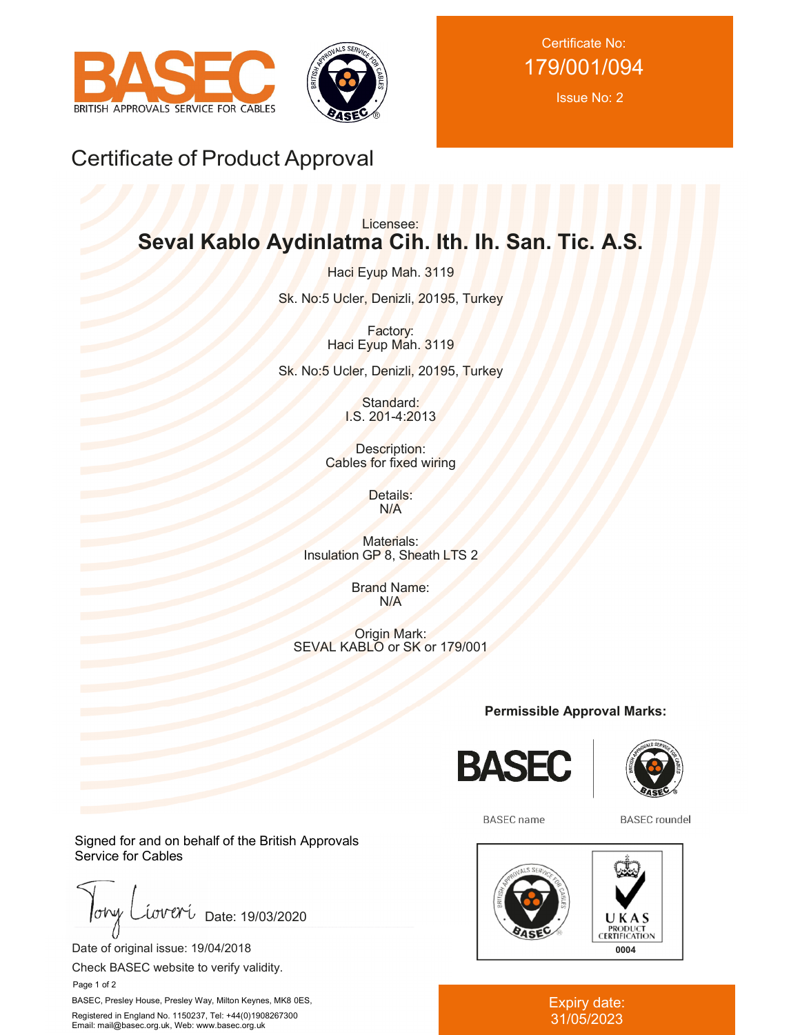



Certificate No: 179/001/094

Issue No: 2

# Certificate of Product Approval

# Licensee: **Seval Kablo Aydinlatma Cih. Ith. Ih. San. Tic. A.S.**

Haci Eyup Mah. 3119 Sk. No:5 Ucler, Denizli, 20195, Turkey

> Factory: Haci Eyup Mah. 3119

Sk. No:5 Ucler, Denizli, 20195, Turkey

Standard: I.S. 201-4:2013

Description: Cables for fixed wiring

> Details: N/A

Materials: Insulation GP 8, Sheath LTS 2

> Brand Name: N/A

Origin Mark: SEVAL KABLO or SK or 179/001

**Permissible Approval Marks:**





**BASEC** name

**BASEC** roundel



#### Expiry date: 31/05/2023

Signed for and on behalf of the British Approvals Service for Cables

 $\sigma$ hy iova Date: 19/03/2020

Date of original issue: 19/04/2018

Check BASEC website to verify validity.

Page 1 of 2

BASEC, Presley House, Presley Way, Milton Keynes, MK8 0ES, Registered in England No. 1150237, Tel: +44(0)1908267300 Email: mail@basec.org.uk, Web: www.basec.org.uk